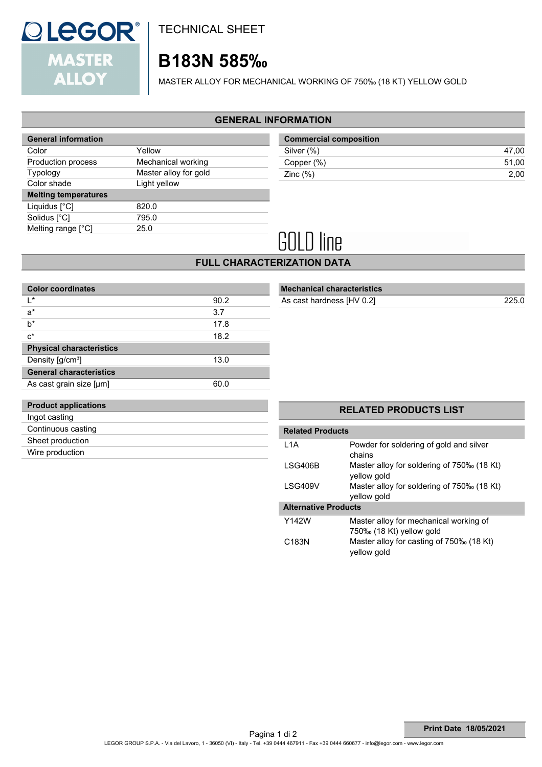

TECHNICAL SHEET

## **B183N 585‰**

MASTER ALLOY FOR MECHANICAL WORKING OF 750‰ (18 KT) YELLOW GOLD

### **GENERAL INFORMATION**

| <b>General information</b>  |                       |
|-----------------------------|-----------------------|
| Color                       | Yellow                |
| Production process          | Mechanical working    |
| <b>Typology</b>             | Master alloy for gold |
| Color shade                 | Light yellow          |
| <b>Melting temperatures</b> |                       |
| Liquidus $[^{\circ}C]$      | 820.0                 |
| Solidus [°C]                | 795.0                 |
| Melting range [°C]          | 25.0                  |
|                             |                       |

| <b>Commercial composition</b> |       |
|-------------------------------|-------|
| Silver (%)                    | 47.00 |
| Copper (%)                    | 51.00 |
| Zinc $(\%)$                   | 2.00  |

# **GOLD** line

### **FULL CHARACTERIZATION DATA**

| <b>Color coordinates</b>        |      |
|---------------------------------|------|
| I∗                              | 90.2 |
| $a^*$                           | 3.7  |
| $b^*$                           | 17.8 |
| $c^*$                           | 18.2 |
| <b>Physical characteristics</b> |      |
| Density [g/cm <sup>3</sup> ]    | 13.0 |
| <b>General characteristics</b>  |      |
| As cast grain size [µm]         | 60.0 |
|                                 |      |

### **Mechanical characteristics** As cast hardness [HV 0.2] 225.0

| <b>Product applications</b> |
|-----------------------------|
| Ingot casting               |
| Continuous casting          |
| Sheet production            |
| Wire production             |
|                             |

### **Related Products** L1A Powder for soldering of gold and silver chains

**RELATED PRODUCTS LIST**

| LSG406B                     | Master alloy for soldering of 750‰ (18 Kt)<br>yellow gold |
|-----------------------------|-----------------------------------------------------------|
| LSG409V                     | Master alloy for soldering of 750‰ (18 Kt)<br>yellow gold |
| <b>Alternative Products</b> |                                                           |
| Y142W                       | Master alloy for mechanical working of                    |
|                             | 750‰ (18 Kt) yellow gold                                  |

yellow gold